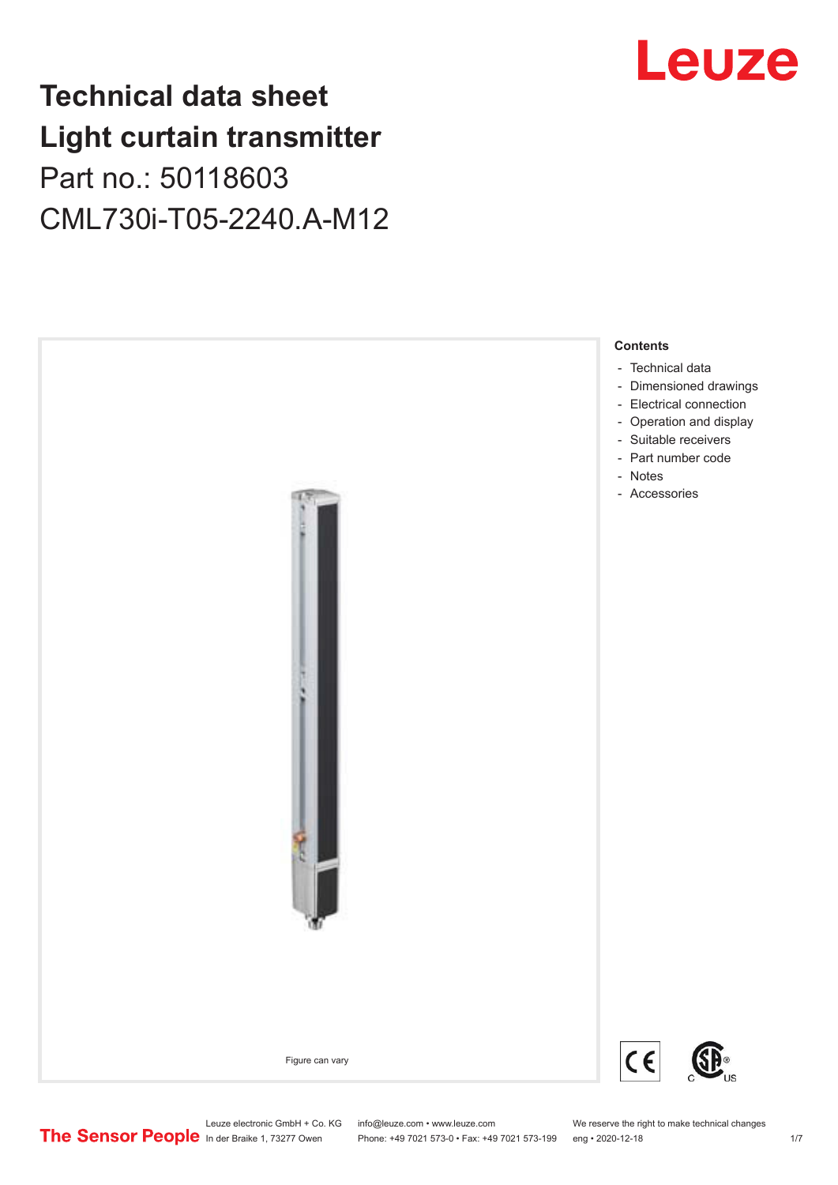## **Technical data sheet Light curtain transmitter** Part no.: 50118603 CML730i-T05-2240.A-M12





Leuze electronic GmbH + Co. KG info@leuze.com • www.leuze.com We reserve the right to make technical changes<br>
The Sensor People in der Braike 1, 73277 Owen Phone: +49 7021 573-0 • Fax: +49 7021 573-199 eng • 2020-12-18

Phone: +49 7021 573-0 • Fax: +49 7021 573-199 eng • 2020-12-18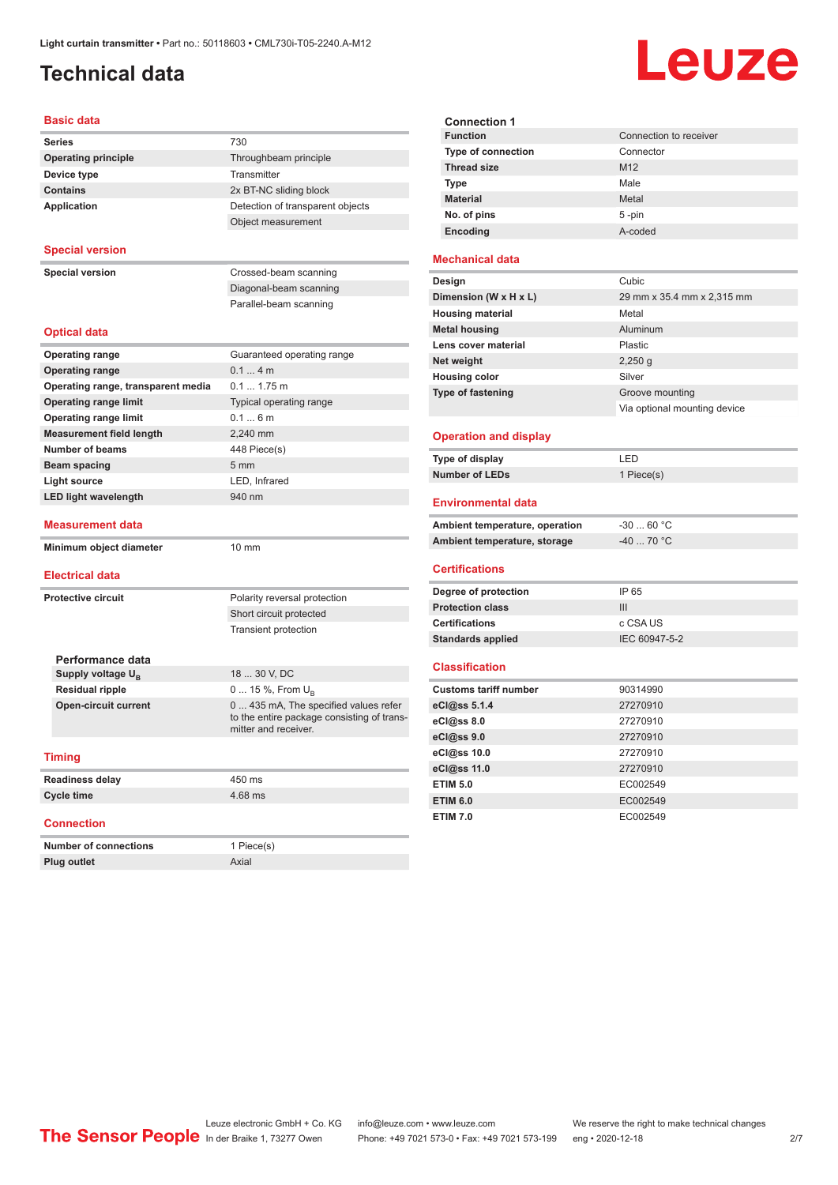## <span id="page-1-0"></span>**Technical data**

# Leuze

| <b>Basic data</b>                  |                                                                                                             |
|------------------------------------|-------------------------------------------------------------------------------------------------------------|
| <b>Series</b>                      | 730                                                                                                         |
| <b>Operating principle</b>         | Throughbeam principle                                                                                       |
| Device type                        | Transmitter                                                                                                 |
| <b>Contains</b>                    | 2x BT-NC sliding block                                                                                      |
| <b>Application</b>                 | Detection of transparent objects                                                                            |
|                                    | Object measurement                                                                                          |
| <b>Special version</b>             |                                                                                                             |
| <b>Special version</b>             | Crossed-beam scanning                                                                                       |
|                                    | Diagonal-beam scanning                                                                                      |
|                                    | Parallel-beam scanning                                                                                      |
| <b>Optical data</b>                |                                                                                                             |
| <b>Operating range</b>             | Guaranteed operating range                                                                                  |
| <b>Operating range</b>             | $0.14$ m                                                                                                    |
| Operating range, transparent media | $0.1 1.75$ m                                                                                                |
| <b>Operating range limit</b>       | Typical operating range                                                                                     |
| <b>Operating range limit</b>       | 0.16m                                                                                                       |
| <b>Measurement field length</b>    | 2.240 mm                                                                                                    |
| <b>Number of beams</b>             | 448 Piece(s)                                                                                                |
| <b>Beam spacing</b>                | 5 <sub>mm</sub>                                                                                             |
| <b>Light source</b>                | LED. Infrared                                                                                               |
| <b>LED light wavelength</b>        | 940 nm                                                                                                      |
| <b>Measurement data</b>            |                                                                                                             |
| Minimum object diameter            | 10 mm                                                                                                       |
| <b>Electrical data</b>             |                                                                                                             |
| <b>Protective circuit</b>          | Polarity reversal protection                                                                                |
|                                    | Short circuit protected                                                                                     |
|                                    | Transient protection                                                                                        |
|                                    |                                                                                                             |
| Performance data                   |                                                                                                             |
| Supply voltage $U_{\rm B}$         | 18  30 V, DC                                                                                                |
| <b>Residual ripple</b>             | 0  15 %, From $U_{\rm B}$                                                                                   |
| <b>Open-circuit current</b>        | 0  435 mA, The specified values refer<br>to the entire package consisting of trans-<br>mitter and receiver. |
| <b>Timing</b>                      |                                                                                                             |
| <b>Readiness delay</b>             | 450 ms                                                                                                      |
| <b>Cycle time</b>                  | 4.68 ms                                                                                                     |
| <b>Connection</b>                  |                                                                                                             |
| <b>Number of connections</b>       | 1 Piece(s)                                                                                                  |
| Plug outlet                        | Axial                                                                                                       |

| <b>Connection 1</b>       |                        |  |  |  |
|---------------------------|------------------------|--|--|--|
| <b>Function</b>           | Connection to receiver |  |  |  |
| <b>Type of connection</b> | Connector              |  |  |  |
| <b>Thread size</b>        | M <sub>12</sub>        |  |  |  |
| <b>Type</b>               | Male                   |  |  |  |
| <b>Material</b>           | Metal                  |  |  |  |
| No. of pins               | $5 - pin$              |  |  |  |
| Encoding                  | A-coded                |  |  |  |
|                           |                        |  |  |  |

#### **Mechanical data**

| Design                   | Cubic                        |
|--------------------------|------------------------------|
| Dimension (W x H x L)    | 29 mm x 35.4 mm x 2,315 mm   |
| <b>Housing material</b>  | Metal                        |
| <b>Metal housing</b>     | Aluminum                     |
| Lens cover material      | <b>Plastic</b>               |
| Net weight               | $2,250$ q                    |
| <b>Housing color</b>     | Silver                       |
| <b>Type of fastening</b> | Groove mounting              |
|                          | Via optional mounting device |
|                          |                              |

#### **Operation and display**

| Type of display | I FD.      |
|-----------------|------------|
| Number of LEDs  | 1 Piece(s) |

#### **Environmental data**

| Ambient temperature, operation | -30  60 °C |
|--------------------------------|------------|
| Ambient temperature, storage   | -40  70 °C |

#### **Certifications**

| Degree of protection     | IP 65         |
|--------------------------|---------------|
| <b>Protection class</b>  | Ш             |
| <b>Certifications</b>    | c CSA US      |
| <b>Standards applied</b> | IEC 60947-5-2 |

#### **Classification**

| <b>Customs tariff number</b> | 90314990 |
|------------------------------|----------|
| eCl@ss 5.1.4                 | 27270910 |
| eCl@ss 8.0                   | 27270910 |
| eCl@ss 9.0                   | 27270910 |
| eCl@ss 10.0                  | 27270910 |
| eCl@ss 11.0                  | 27270910 |
| <b>ETIM 5.0</b>              | EC002549 |
| <b>ETIM 6.0</b>              | EC002549 |
| <b>ETIM 7.0</b>              | EC002549 |

Leuze electronic GmbH + Co. KG info@leuze.com • www.leuze.com We reserve the right to make technical changes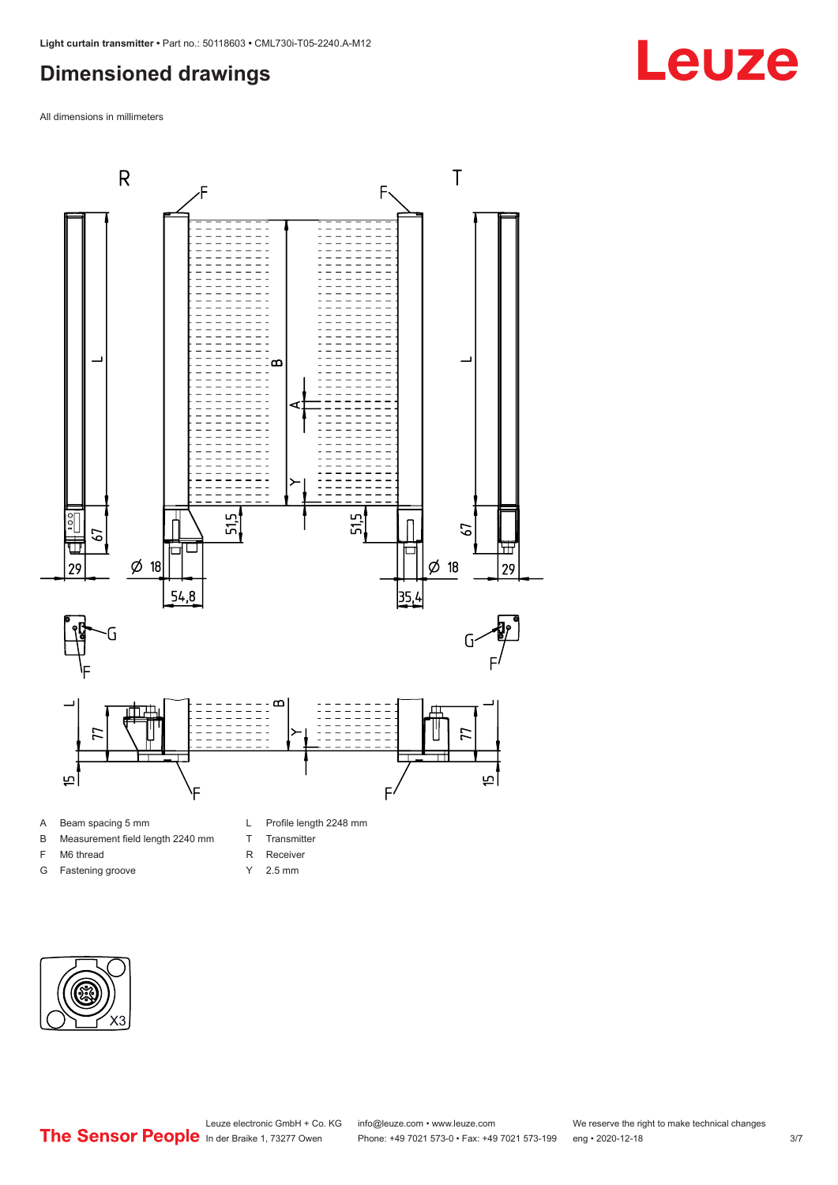### <span id="page-2-0"></span>**Dimensioned drawings**

All dimensions in millimeters



#### A Beam spacing 5 mm

- B Measurement field length 2240 mm
- F M6 thread
- G Fastening groove
- L Profile length 2248 mm
- T Transmitter
- R Receiver
- Y 2.5 mm



## **Leuze**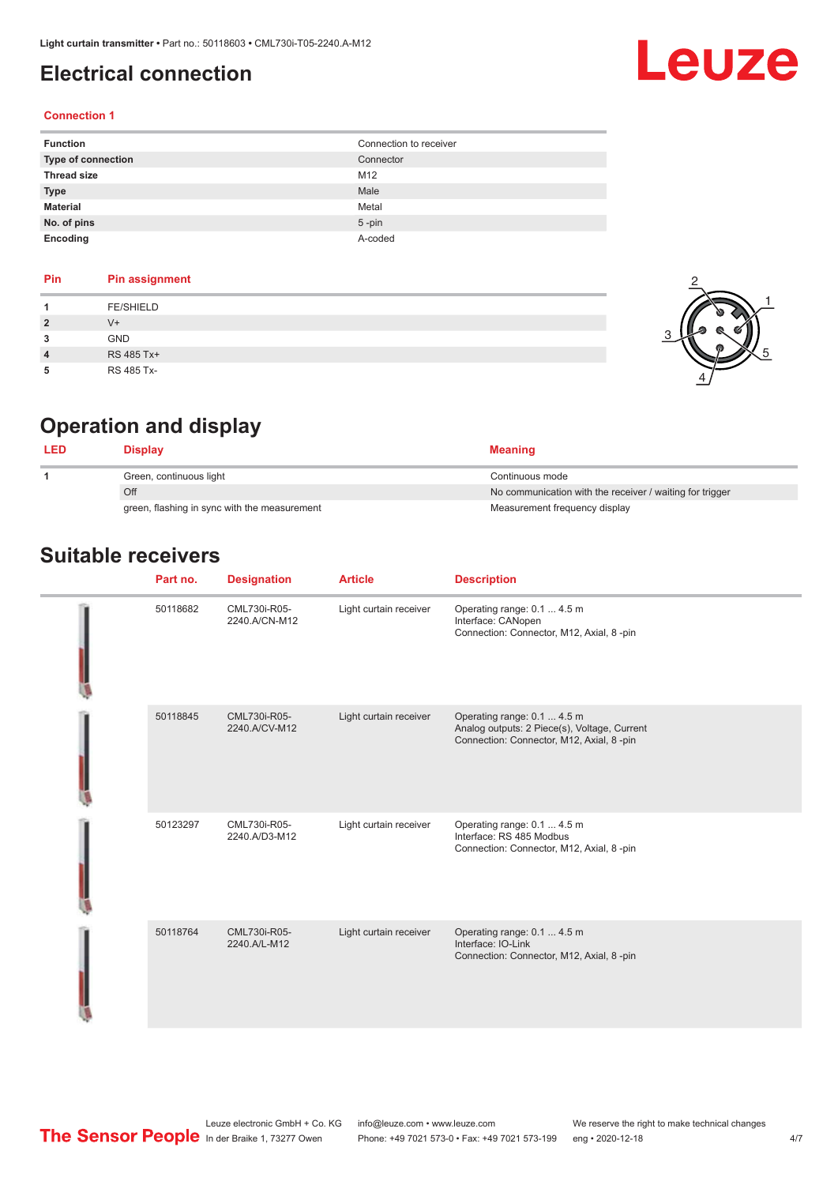### <span id="page-3-0"></span>**Electrical connection**

# Leuze

#### **Connection 1**

| <b>Function</b>    | Connection to receiver |
|--------------------|------------------------|
| Type of connection | Connector              |
| <b>Thread size</b> | M12                    |
| <b>Type</b>        | Male                   |
| <b>Material</b>    | Metal                  |
| No. of pins        | $5$ -pin               |
| Encoding           | A-coded                |

#### **Pin Pin assignment 1** FE/SHIELD **2** V+ **3** GND **4** RS 485 Tx+ **5** RS 485 Tx-



## **Operation and display**

| Display                                      | <b>Meaning</b>                                           |
|----------------------------------------------|----------------------------------------------------------|
| Green, continuous light                      | Continuous mode                                          |
| Off                                          | No communication with the receiver / waiting for trigger |
| green, flashing in sync with the measurement | Measurement frequency display                            |

### **Suitable receivers**

|  | Part no. | <b>Designation</b>            | <b>Article</b>         | <b>Description</b>                                                                                                      |
|--|----------|-------------------------------|------------------------|-------------------------------------------------------------------------------------------------------------------------|
|  | 50118682 | CML730i-R05-<br>2240.A/CN-M12 | Light curtain receiver | Operating range: 0.1  4.5 m<br>Interface: CANopen<br>Connection: Connector, M12, Axial, 8 -pin                          |
|  | 50118845 | CML730i-R05-<br>2240.A/CV-M12 | Light curtain receiver | Operating range: 0.1  4.5 m<br>Analog outputs: 2 Piece(s), Voltage, Current<br>Connection: Connector, M12, Axial, 8-pin |
|  | 50123297 | CML730i-R05-<br>2240.A/D3-M12 | Light curtain receiver | Operating range: 0.1  4.5 m<br>Interface: RS 485 Modbus<br>Connection: Connector, M12, Axial, 8 -pin                    |
|  | 50118764 | CML730i-R05-<br>2240.A/L-M12  | Light curtain receiver | Operating range: 0.1  4.5 m<br>Interface: IO-Link<br>Connection: Connector, M12, Axial, 8-pin                           |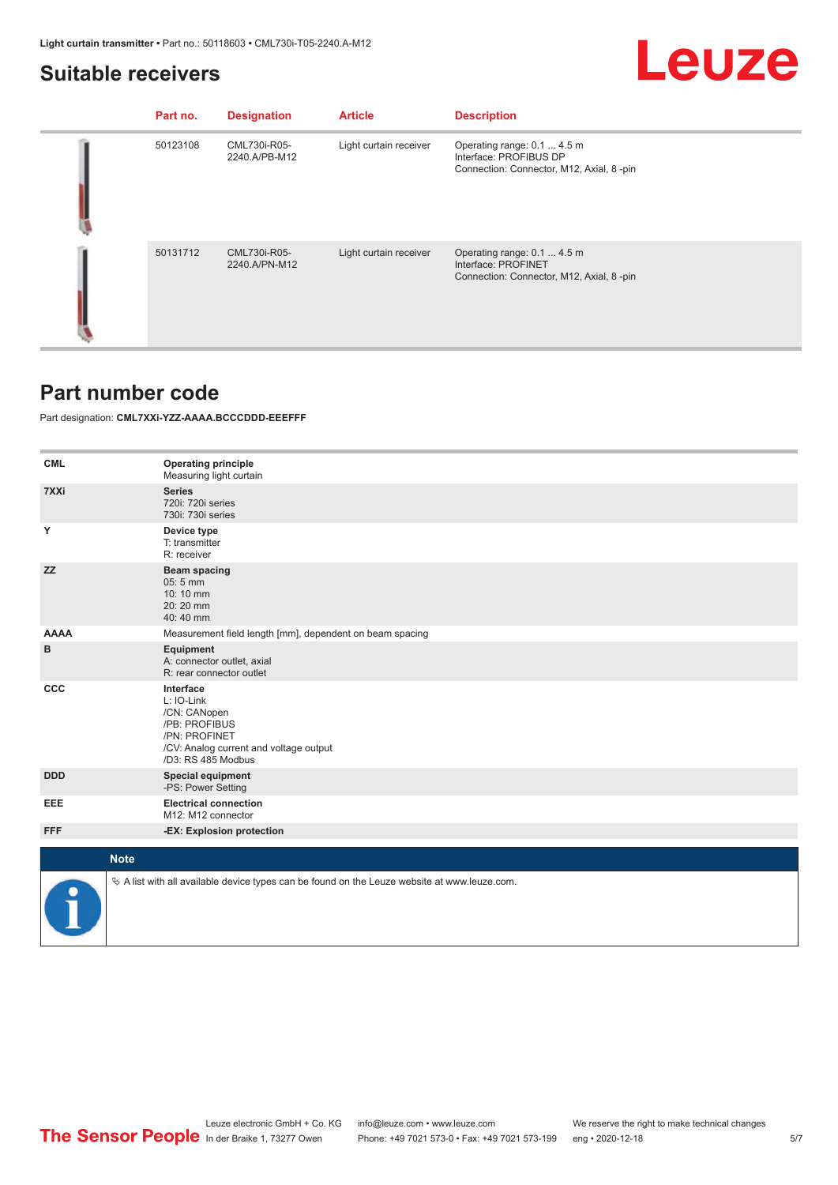#### <span id="page-4-0"></span>**Suitable receivers**

## Leuze

| Part no. | <b>Designation</b>            | <b>Article</b>         | <b>Description</b>                                                                                 |
|----------|-------------------------------|------------------------|----------------------------------------------------------------------------------------------------|
| 50123108 | CML730i-R05-<br>2240.A/PB-M12 | Light curtain receiver | Operating range: 0.1  4.5 m<br>Interface: PROFIBUS DP<br>Connection: Connector, M12, Axial, 8 -pin |
| 50131712 | CML730i-R05-<br>2240.A/PN-M12 | Light curtain receiver | Operating range: 0.1  4.5 m<br>Interface: PROFINET<br>Connection: Connector, M12, Axial, 8-pin     |

#### **Part number code**

Part designation: **CML7XXi-YZZ-AAAA.BCCCDDD-EEEFFF**

| <b>CML</b>  | <b>Operating principle</b><br>Measuring light curtain                                                                                     |
|-------------|-------------------------------------------------------------------------------------------------------------------------------------------|
| 7XXi        | <b>Series</b><br>720i: 720i series<br>730i: 730i series                                                                                   |
| Y           | Device type<br>T: transmitter<br>R: receiver                                                                                              |
| <b>ZZ</b>   | <b>Beam spacing</b><br>$05:5$ mm<br>10:10 mm<br>20:20 mm<br>40:40 mm                                                                      |
| <b>AAAA</b> | Measurement field length [mm], dependent on beam spacing                                                                                  |
| в           | Equipment<br>A: connector outlet, axial<br>R: rear connector outlet                                                                       |
| <b>CCC</b>  | Interface<br>L: IO-Link<br>/CN: CANopen<br>/PB: PROFIBUS<br>/PN: PROFINET<br>/CV: Analog current and voltage output<br>/D3: RS 485 Modbus |
| <b>DDD</b>  | <b>Special equipment</b><br>-PS: Power Setting                                                                                            |
| EEE         | <b>Electrical connection</b><br>M12: M12 connector                                                                                        |
| <b>FFF</b>  | -EX: Explosion protection                                                                                                                 |
| <b>Note</b> |                                                                                                                                           |
|             | $\&$ A list with all available device types can be found on the Leuze website at www.leuze.com.                                           |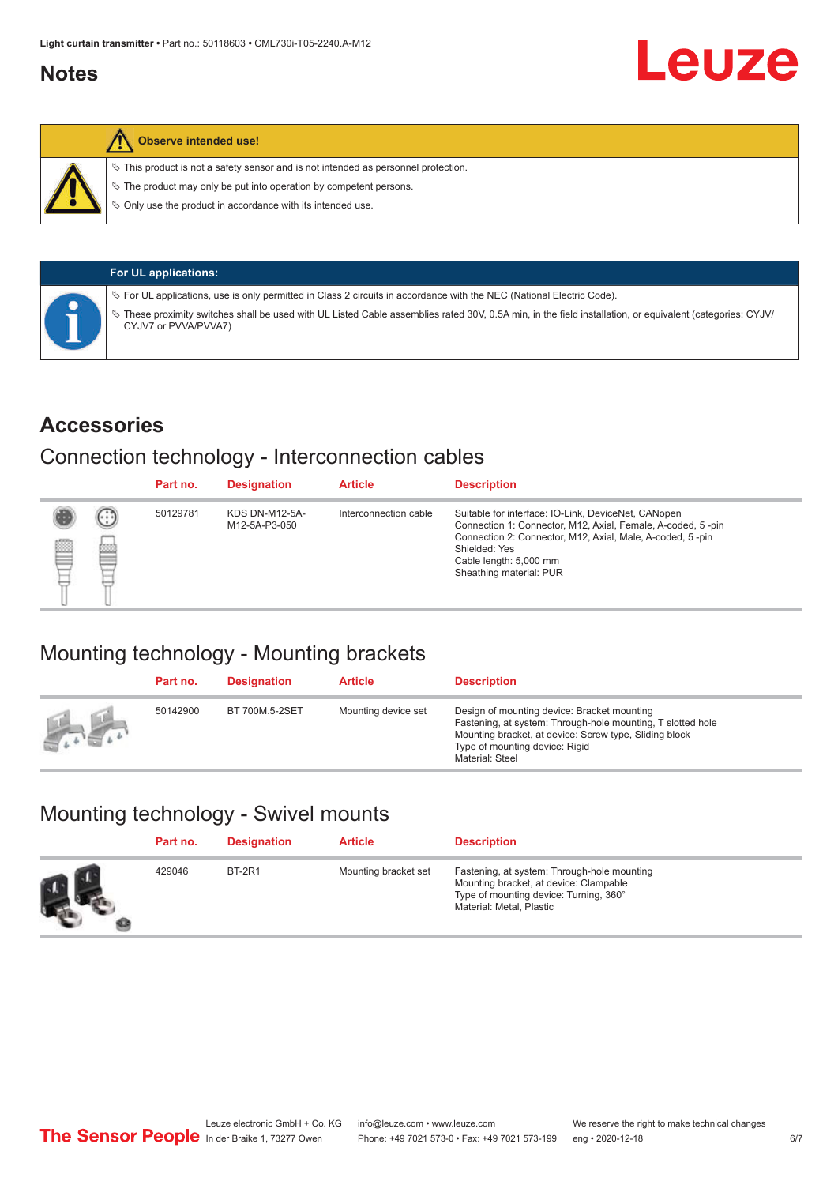### <span id="page-5-0"></span>**Notes**



#### **Observe intended use!**

 $\%$  This product is not a safety sensor and is not intended as personnel protection.

 $\%$  The product may only be put into operation by competent persons.

 $\%$  Only use the product in accordance with its intended use.

|  | <b>For UL applications:</b>                                                                                                                                                     |
|--|---------------------------------------------------------------------------------------------------------------------------------------------------------------------------------|
|  | $\%$ For UL applications, use is only permitted in Class 2 circuits in accordance with the NEC (National Electric Code).                                                        |
|  | These proximity switches shall be used with UL Listed Cable assemblies rated 30V, 0.5A min, in the field installation, or equivalent (categories: CYJV/<br>CYJV7 or PVVA/PVVA7) |

#### **Accessories**

#### Connection technology - Interconnection cables

|   |        | Part no. | <b>Designation</b>                     | <b>Article</b>        | <b>Description</b>                                                                                                                                                                                                                                    |
|---|--------|----------|----------------------------------------|-----------------------|-------------------------------------------------------------------------------------------------------------------------------------------------------------------------------------------------------------------------------------------------------|
| Ø | ⊙<br>œ | 50129781 | <b>KDS DN-M12-5A-</b><br>M12-5A-P3-050 | Interconnection cable | Suitable for interface: IO-Link, DeviceNet, CANopen<br>Connection 1: Connector, M12, Axial, Female, A-coded, 5-pin<br>Connection 2: Connector, M12, Axial, Male, A-coded, 5-pin<br>Shielded: Yes<br>Cable length: 5,000 mm<br>Sheathing material: PUR |

## Mounting technology - Mounting brackets

|               | Part no. | <b>Designation</b> | <b>Article</b>      | <b>Description</b>                                                                                                                                                                                                        |
|---------------|----------|--------------------|---------------------|---------------------------------------------------------------------------------------------------------------------------------------------------------------------------------------------------------------------------|
| <b>Altres</b> | 50142900 | BT 700M.5-2SET     | Mounting device set | Design of mounting device: Bracket mounting<br>Fastening, at system: Through-hole mounting, T slotted hole<br>Mounting bracket, at device: Screw type, Sliding block<br>Type of mounting device: Rigid<br>Material: Steel |

## Mounting technology - Swivel mounts

| Part no. | <b>Designation</b> | <b>Article</b>       | <b>Description</b>                                                                                                                                          |
|----------|--------------------|----------------------|-------------------------------------------------------------------------------------------------------------------------------------------------------------|
| 429046   | <b>BT-2R1</b>      | Mounting bracket set | Fastening, at system: Through-hole mounting<br>Mounting bracket, at device: Clampable<br>Type of mounting device: Turning, 360°<br>Material: Metal, Plastic |

Leuze